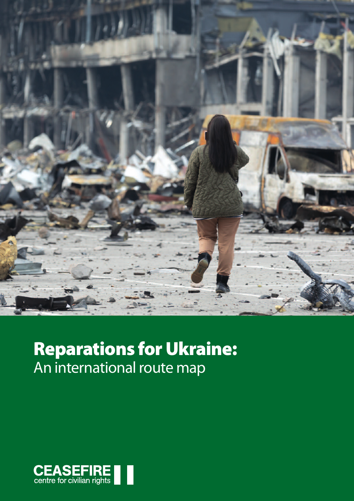

## **Reparations for Ukraine:** An international route map

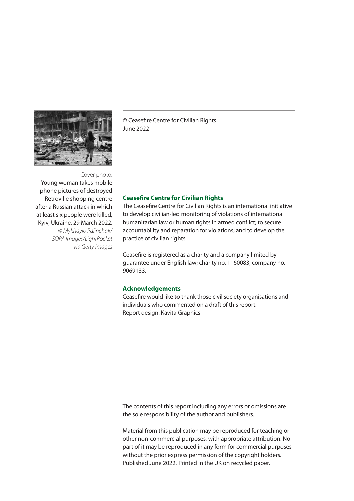

Cover photo: Young woman takes mobile phone pictures of destroyed Retroville shopping centre after a Russian attack in which at least six people were killed, Kyiv, Ukraine, 29 March 2022. © Mykhaylo Palinchak/ SOPA Images/LightRocket via Getty Images

© Ceasefire Centre for Civilian Rights June 2022

#### **Ceasefire Centre for Civilian Rights**

The Ceasefire Centre for Civilian Rights is an international initiative to develop civilian-led monitoring of violations of international humanitarian law or human rights in armed conflict; to secure accountability and reparation for violations; and to develop the practice of civilian rights.

Ceasefire is registered as a charity and a company limited by guarantee under English law; charity no. 1160083; company no. 9069133.

#### **Acknowledgements**

Ceasefire would like to thank those civil society organisations and individuals who commented on a draft of this report. Report design: Kavita Graphics

The contents of this report including any errors or omissions are the sole responsibility of the author and publishers.

Material from this publication may be reproduced for teaching or other non-commercial purposes, with appropriate attribution. No part of it may be reproduced in any form for commercial purposes without the prior express permission of the copyright holders. Published June 2022. Printed in the UK on recycled paper.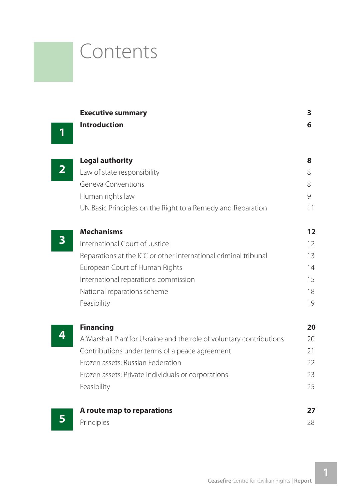# Contents

|                         | <b>Executive summary</b>                                              | 3               |
|-------------------------|-----------------------------------------------------------------------|-----------------|
|                         | <b>Introduction</b>                                                   | 6               |
|                         |                                                                       |                 |
|                         | <b>Legal authority</b>                                                | 8               |
| $\overline{\mathbf{2}}$ | Law of state responsibility                                           | 8               |
|                         | <b>Geneva Conventions</b>                                             | 8               |
|                         | Human rights law                                                      | 9               |
|                         | UN Basic Principles on the Right to a Remedy and Reparation           | 11              |
|                         | <b>Mechanisms</b>                                                     | 12              |
| 3                       | International Court of Justice                                        | 12 <sup>°</sup> |
|                         | Reparations at the ICC or other international criminal tribunal       | 13              |
|                         | European Court of Human Rights                                        | 14              |
|                         | International reparations commission                                  | 15              |
|                         | National reparations scheme                                           | 18              |
|                         | Feasibility                                                           | 19              |
| 4.                      | <b>Financing</b>                                                      | 20              |
|                         | A 'Marshall Plan' for Ukraine and the role of voluntary contributions | 20              |
|                         | Contributions under terms of a peace agreement                        | 21              |
|                         | Frozen assets: Russian Federation                                     | 22              |
|                         | Frozen assets: Private individuals or corporations                    | 23              |
|                         | Feasibility                                                           | 25              |
|                         | A route map to reparations                                            | 27              |
| 5                       | Principles                                                            | 28              |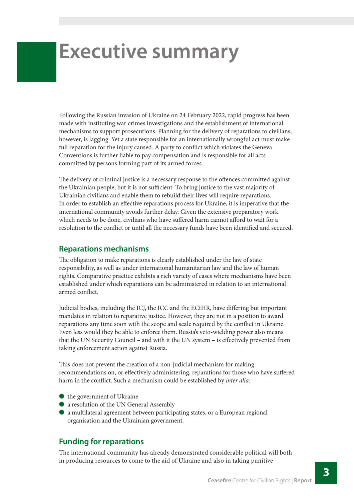# **Executive summary**

Following the Russian invasion of Ukraine on 24 February 2022, rapid progress has been made with instituting war crimes investigations and the establishment of international mechanisms to support prosecutions. Planning for the delivery of reparations to civilians, however, is lagging. Yet a state responsible for an internationally wrongful act must make full reparation for the injury caused. A party to conflict which violates the Geneva Conventions is further liable to pay compensation and is responsible for all acts committed by persons forming part of its armed forces.

The delivery of criminal justice is a necessary response to the offences committed against the Ukrainian people, but it is not sufficient. To bring justice to the vast majority of Ukrainian civilians and enable them to rebuild their lives will require reparations. In order to establish an effective reparations process for Ukraine, it is imperative that the international community avoids further delay. Given the extensive preparatory work which needs to be done, civilians who have suffered harm cannot afford to wait for a resolution to the conflict or until all the necessary funds have been identified and secured.

#### **Reparations mechanisms**

The obligation to make reparations is clearly established under the law of state responsibility, as well as under international humanitarian law and the law of human rights. Comparative practice exhibits a rich variety of cases where mechanisms have been established under which reparations can be administered in relation to an international armed conflict.

Judicial bodies, including the ICJ, the ICC and the ECtHR, have differing but important mandates in relation to reparative justice. However, they are not in a position to award reparations any time soon with the scope and scale required by the conflict in Ukraine. Even less would they be able to enforce them. Russia's veto-wielding power also means that the UN Security Council – and with it the UN system – is effectively prevented from taking enforcement action against Russia.

This does not prevent the creation of a non-judicial mechanism for making recommendations on, or effectively administering, reparations for those who have suffered harm in the conflict. Such a mechanism could be established by inter alia:

- $\bullet$  the government of Ukraine
- a resolution of the UN General Assembly
- a multilateral agreement between participating states, or a European regional organisation and the Ukrainian government.

#### **Funding for reparations**

The international community has already demonstrated considerable political will both in producing resources to come to the aid of Ukraine and also in taking punitive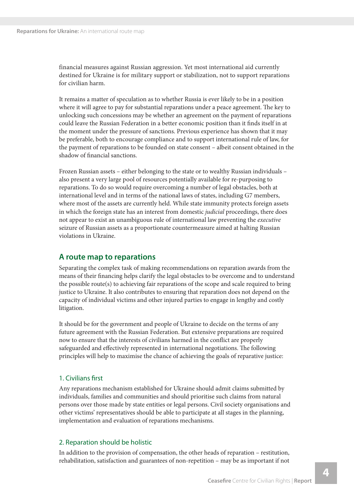financial measures against Russian aggression. Yet most international aid currently destined for Ukraine is for military support or stabilization, not to support reparations for civilian harm.

It remains a matter of speculation as to whether Russia is ever likely to be in a position where it will agree to pay for substantial reparations under a peace agreement. The key to unlocking such concessions may be whether an agreement on the payment of reparations could leave the Russian Federation in a better economic position than it finds itself in at the moment under the pressure of sanctions. Previous experience has shown that it may be preferable, both to encourage compliance and to support international rule of law, for the payment of reparations to be founded on state consent – albeit consent obtained in the shadow of financial sanctions.

Frozen Russian assets – either belonging to the state or to wealthy Russian individuals – also present a very large pool of resources potentially available for re-purposing to reparations. To do so would require overcoming a number of legal obstacles, both at international level and in terms of the national laws of states, including G7 members, where most of the assets are currently held. While state immunity protects foreign assets in which the foreign state has an interest from domestic judicial proceedings, there does not appear to exist an unambiguous rule of international law preventing the executive seizure of Russian assets as a proportionate countermeasure aimed at halting Russian violations in Ukraine.

#### **A route map to reparations**

Separating the complex task of making recommendations on reparation awards from the means of their financing helps clarify the legal obstacles to be overcome and to understand the possible route(s) to achieving fair reparations of the scope and scale required to bring justice to Ukraine. It also contributes to ensuring that reparation does not depend on the capacity of individual victims and other injured parties to engage in lengthy and costly litigation.

It should be for the government and people of Ukraine to decide on the terms of any future agreement with the Russian Federation. But extensive preparations are required now to ensure that the interests of civilians harmed in the conflict are properly safeguarded and effectively represented in international negotiations. The following principles will help to maximise the chance of achieving the goals of reparative justice:

#### 1. Civilians first

Any reparations mechanism established for Ukraine should admit claims submitted by individuals, families and communities and should prioritise such claims from natural persons over those made by state entities or legal persons. Civil society organisations and other victims' representatives should be able to participate at all stages in the planning, implementation and evaluation of reparations mechanisms.

#### 2. Reparation should be holistic

In addition to the provision of compensation, the other heads of reparation – restitution, rehabilitation, satisfaction and guarantees of non-repetition – may be as important if not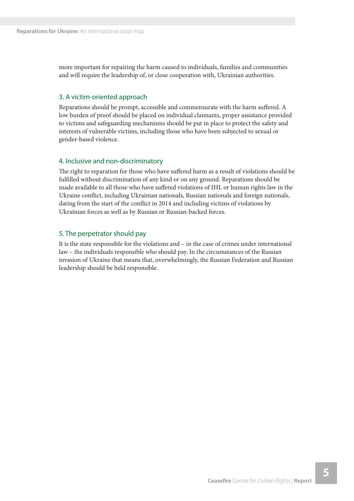more important for repairing the harm caused to individuals, families and communities and will require the leadership of, or close cooperation with, Ukrainian authorities.

#### 3. A victim-oriented approach

Reparations should be prompt, accessible and commensurate with the harm suffered. A low burden of proof should be placed on individual claimants, proper assistance provided to victims and safeguarding mechanisms should be put in place to protect the safety and interests of vulnerable victims, including those who have been subjected to sexual or gender-based violence.

#### 4. Inclusive and non-discriminatory

The right to reparation for those who have suffered harm as a result of violations should be fulfilled without discrimination of any kind or on any ground. Reparations should be made available to all those who have suffered violations of IHL or human rights law in the Ukraine conflict, including Ukrainian nationals, Russian nationals and foreign nationals, dating from the start of the conflict in 2014 and including victims of violations by Ukrainian forces as well as by Russian or Russian-backed forces.

#### 5. The perpetrator should pay

It is the state responsible for the violations and – in the case of crimes under international law – the individuals responsible who should pay. In the circumstances of the Russian invasion of Ukraine that means that, overwhelmingly, the Russian Federation and Russian leadership should be held responsible.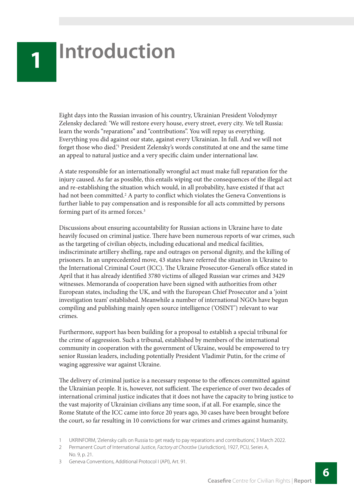## **Introduction 1**

Eight days into the Russian invasion of his country, Ukrainian President Volodymyr Zelensky declared: 'We will restore every house, every street, every city. We tell Russia: learn the words "reparations" and "contributions". You will repay us everything. Everything you did against our state, against every Ukrainian. In full. And we will not forget those who died.' <sup>1</sup> President Zelensky's words constituted at one and the same time an appeal to natural justice and a very specific claim under international law.

A state responsible for an internationally wrongful act must make full reparation for the injury caused. As far as possible, this entails wiping out the consequences of the illegal act and re-establishing the situation which would, in all probability, have existed if that act had not been committed. <sup>2</sup> A party to conflict which violates the Geneva Conventions is further liable to pay compensation and is responsible for all acts committed by persons forming part of its armed forces. 3

Discussions about ensuring accountability for Russian actions in Ukraine have to date heavily focused on criminal justice. There have been numerous reports of war crimes, such as the targeting of civilian objects, including educational and medical facilities, indiscriminate artillery shelling, rape and outrages on personal dignity, and the killing of prisoners. In an unprecedented move, 43 states have referred the situation in Ukraine to the International Criminal Court (ICC). The Ukraine Prosecutor-General's office stated in April that it has already identified 3780 victims of alleged Russian war crimes and 3429 witnesses. Memoranda of cooperation have been signed with authorities from other European states, including the UK, and with the European Chief Prosecutor and a 'joint investigation team' established. Meanwhile a number of international NGOs have begun compiling and publishing mainly open source intelligence ('OSINT') relevant to war crimes.

Furthermore, support has been building for a proposal to establish a special tribunal for the crime of aggression. Such a tribunal, established by members of the international community in cooperation with the government of Ukraine, would be empowered to try senior Russian leaders, including potentially President Vladimir Putin, for the crime of waging aggressive war against Ukraine.

The delivery of criminal justice is a necessary response to the offences committed against the Ukrainian people. It is, however, not sufficient. The experience of over two decades of international criminal justice indicates that it does not have the capacity to bring justice to the vast majority of Ukrainian civilians any time soon, if at all. For example, since the Rome Statute of the ICC came into force 20 years ago, 30 cases have been brought before the court, so far resulting in 10 convictions for war crimes and crimes against humanity,

<sup>1</sup> UKRINFORM, 'Zelensky calls on Russia to get ready to pay reparations and [contributions',](https://www.ukrinform.net/rubric-ato/3418898-zelensky-calls-on-russia-to-get-ready-to-pay-reparations-and-contributions.html) 3 March 2022.

<sup>2</sup> Permanent Court of International Justice, Factory at Chorzów (Jurisdiction), 1927, PCIJ, Series A, No. 9, p. 21.

<sup>3</sup> Geneva Conventions, Additional Protocol I (API), Art. 91.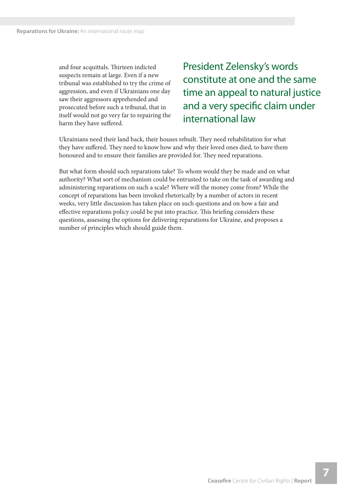and four acquittals. Thirteen indicted suspects remain at large. Even if a new tribunal was established to try the crime of aggression, and even if Ukrainians one day saw their aggressors apprehended and prosecuted before such a tribunal, that in itself would not go very far to repairing the harm they have suffered.

President Zelensky's words constitute at one and the same time an appeal to natural justice and a very specific claim under international law

Ukrainians need their land back, their houses rebuilt. They need rehabilitation for what they have suffered. They need to know how and why their loved ones died, to have them honoured and to ensure their families are provided for. They need reparations.

But what form should such reparations take? To whom would they be made and on what authority? What sort of mechanism could be entrusted to take on the task of awarding and administering reparations on such a scale? Where will the money come from? While the concept of reparations has been invoked rhetorically by a number of actors in recent weeks, very little discussion has taken place on such questions and on how a fair and effective reparations policy could be put into practice. This briefing considers these questions, assessing the options for delivering reparations for Ukraine, and proposes a number of principles which should guide them.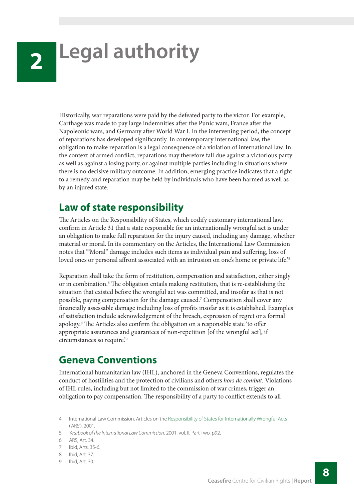## **Legal authority 2**

Historically, war reparations were paid by the defeated party to the victor. For example, Carthage was made to pay large indemnities after the Punic wars, France after the Napoleonic wars, and Germany after World War I. In the intervening period, the concept of reparations has developed significantly. In contemporary international law, the obligation to make reparation is a legal consequence of a violation of international law. In the context of armed conflict, reparations may therefore fall due against a victorious party as well as against a losing party, or against multiple parties including in situations where there is no decisive military outcome. In addition, emerging practice indicates that a right to a remedy and reparation may be held by individuals who have been harmed as well as by an injured state.

## **Law of state responsibility**

The Articles on the Responsibility of States, which codify customary international law, confirm in Article 31 that a state responsible for an internationally wrongful act is under an obligation to make full reparation for the injury caused, including any damage, whether material or moral. In its commentary on the Articles, the International Law Commission notes that '"Moral" damage includes such items as individual pain and suffering, loss of loved ones or personal affront associated with an intrusion on one's home or private life.' 5

Reparation shall take the form of restitution, compensation and satisfaction, either singly or in combination.<sup>6</sup> The obligation entails making restitution, that is re-establishing the situation that existed before the wrongful act was committed, and insofar as that is not possible, paying compensation for the damage caused. <sup>7</sup> Compensation shall cover any financially assessable damage including loss of profits insofar as it is established. Examples of satisfaction include acknowledgement of the breach, expression of regret or a formal apology.<sup>8</sup> The Articles also confirm the obligation on a responsible state 'to offer appropriate assurances and guarantees of non-repetition [of the wrongful act], if circumstances so require.' 9

## **Geneva Conventions**

International humanitarian law (IHL), anchored in the Geneva Conventions, regulates the conduct of hostilities and the protection of civilians and others hors de combat. Violations of IHL rules, including but not limited to the commission of war crimes, trigger an obligation to pay compensation. The responsibility of a party to conflict extends to all

5 Yearbook of the International Law Commission, 2001, vol. II, Part Two, p92.

6 ARS, Art. 34.

- 7 Ibid, Arts. 35-6.
- 8 Ibid, Art. 37.
- 9 Ibid, Art. 30.

<sup>4</sup> International Law Commission, Articles on the Responsibility of States for [Internationally](https://legal.un.org/ilc/texts/instruments/english/draft_articles/9_6_2001.pdf) Wrongful Acts ('ARS'), 2001.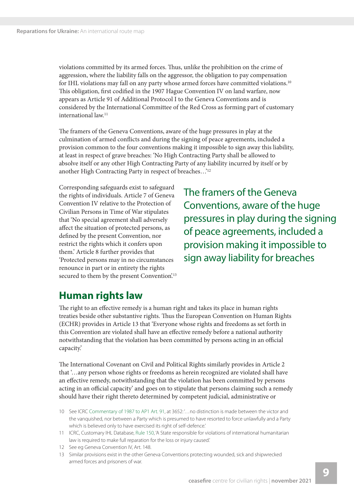violations committed by its armed forces. Thus, unlike the prohibition on the crime of aggression, where the liability falls on the aggressor, the obligation to pay compensation for IHL violations may fall on any party whose armed forces have committed violations. $^{10}$ This obligation, first codified in the 1907 Hague Convention IV on land warfare, now appears as Article 91 of Additional Protocol I to the Geneva Conventions and is considered by the International Committee of the Red Cross as forming part of customary international law. 11

The framers of the Geneva Conventions, aware of the huge pressures in play at the culmination of armed conflicts and during the signing of peace agreements, included a provision common to the four conventions making it impossible to sign away this liability, at least in respect of grave breaches: 'No High Contracting Party shall be allowed to absolve itself or any other High Contracting Party of any liability incurred by itself or by another High Contracting Party in respect of breaches…' 12

Corresponding safeguards exist to safeguard the rights of individuals. Article 7 of Geneva Convention IV relative to the Protection of Civilian Persons in Time of War stipulates that 'No special agreement shall adversely affect the situation of protected persons, as defined by the present Convention, nor restrict the rights which it confers upon them.' Article 8 further provides that 'Protected persons may in no circumstances renounce in part or in entirety the rights secured to them by the present Convention.<sup>13</sup>

The framers of the Geneva Conventions, aware of the huge pressures in play during the signing of peace agreements, included a provision making it impossible to sign away liability for breaches

## **Human rights law**

The right to an effective remedy is a human right and takes its place in human rights treaties beside other substantive rights. Thus the European Convention on Human Rights (ECHR) provides in Article 13 that 'Everyone whose rights and freedoms as set forth in this Convention are violated shall have an effective remedy before a national authority notwithstanding that the violation has been committed by persons acting in an official capacity.'

The International Covenant on Civil and Political Rights similarly provides in Article 2 that '…any person whose rights or freedoms as herein recognized are violated shall have an effective remedy, notwithstanding that the violation has been committed by persons acting in an official capacity' and goes on to stipulate that persons claiming such a remedy should have their right thereto determined by competent judicial, administrative or

- 10 See ICRC [Commentary](https://ihl-databases.icrc.org/applic/ihl/ihl.nsf/Comment.xsp?action=openDocument&documentId=1066AF25ED669409C12563CD00438071) of 1987 to AP1 Art. 91, at 3652: '…no distinction is made between the victor and the vanquished, nor between a Party which is presumed to have resorted to force unlawfully and a Party which is believed only to have exercised its right of self-defence.'
- 11 ICRC, Customary IHL Database, [Rule](https://ihl-databases.icrc.org/customary-ihl/eng/docs/v1_rul_rule150) 150, 'A State responsible for violations of international humanitarian law is required to make full reparation for the loss or injury caused.'
- 12 See eg Geneva Convention IV, Art. 148.
- 13 Similar provisions exist in the other Geneva Conventions protecting wounded, sick and shipwrecked armed forces and prisoners of war.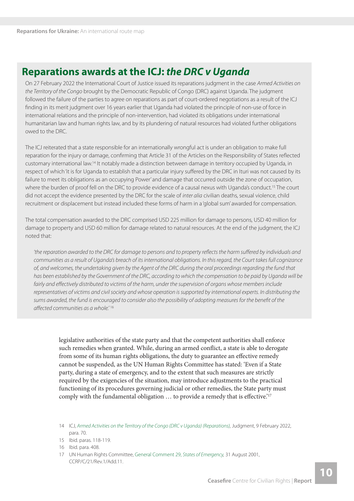## **Reparations awards at the ICJ:** *the DRC v Uganda*

On 27 February 2022 the International Court of Justice issued its reparations judgment in the case Armed Activities on the Territory of the Congo brought by the Democratic Republic of Congo (DRC) against Uganda. The judgment followed the failure of the parties to agree on reparations as part of court-ordered negotiations as a result of the ICJ finding in its merit judgment over 16 years earlier that Uganda had violated the principle of non-use of force in international relations and the principle of non-intervention, had violated its obligations under international humanitarian law and human rights law, and by its plundering of natural resources had violated further obligations owed to the DRC.

The ICJ reiterated that a state responsible for an internationally wrongful act is under an obligation to make full reparation for the injury or damage, confirming that Article 31 of the Articles on the Responsibility of States reflected customary international law.<sup>14</sup> It notably made a distinction between damage in territory occupied by Uganda, in respect of which'it is for Uganda to establish that a particular injury suffered by the DRC in Ituri was not caused by its failure to meet its obligations as an occupying Power' and damage that occurred outside the zone of occupation, where the burden of proof fell on the DRC to provide evidence of a causal nexus with Uganda's conduct. <sup>15</sup> The court did not accept the evidence presented by the DRC for the scale of inter alia civilian deaths, sexual violence, child recruitment or displacement but instead included these forms of harm in a 'global sum' awarded for compensation.

The total compensation awarded to the DRC comprised USD 225 million for damage to persons, USD 40 million for damage to property and USD 60 million for damage related to natural resources. At the end of the judgment, the ICJ noted that:

'the reparation awarded to the DRC for damage to persons and to property reflects the harm suffered by individuals and communities as a result of Uganda's breach of its international obligations. In this regard, the Court takes full cognizance of, and welcomes, the undertaking given by the Agent of the DRC during the oral proceedings regarding the fund that has been established by the Government of the DRC, according to which the compensation to be paid by Uganda will be fairly and effectively distributed to victims of the harm, under the supervision of organs whose members include representatives of victims and civil society and whose operation is supported by international experts. In distributing the sums awarded, the fund is encouraged to consider also the possibility of adopting measures for the benefit of the affected communities as a whole<sup> $16$ </sup>

legislative authorities of the state party and that the competent authorities shall enforce such remedies when granted. While, during an armed conflict, a state is able to derogate from some of its human rights obligations, the duty to guarantee an effective remedy cannot be suspended, as the UN Human Rights Committee has stated: 'Even if a State party, during a state of emergency, and to the extent that such measures are strictly required by the exigencies of the situation, may introduce adjustments to the practical functioning of its procedures governing judicial or other remedies, the State party must comply with the fundamental obligation … to provide a remedy that is effective.' 17

**10**

<sup>14</sup> ICJ, Armed Activities on the Territory of the Congo (DRC v Uganda) [\(Reparations\),](https://www.icj-cij.org/public/files/case-related/116/116-20220209-JUD-01-00-EN.pdf) Judgment, 9 February 2022, para. 70.

<sup>15</sup> Ibid. paras. 118-119.

<sup>16</sup> Ibid. para. 408.

<sup>17</sup> UN Human Rights Committee, General Comment 29, States of [Emergency,](https://tbinternet.ohchr.org/_layouts/15/treatybodyexternal/Download.aspx?symbolno=CCPR/C/21/Rev.1/Add.11&Lang=en) 31 August 2001, CCRP/C/21/Rev.1/Add.11.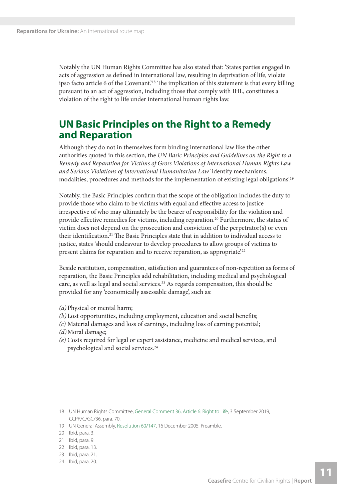Notably the UN Human Rights Committee has also stated that: 'States parties engaged in acts of aggression as defined in international law, resulting in deprivation of life, violate ipso facto article 6 of the Covenant.'18 The implication of this statement is that every killing pursuant to an act of aggression, including those that comply with IHL, constitutes a violation of the right to life under international human rights law.

#### **UN Basic Principles on the Right to a Remedy and Reparation**

Although they do not in themselves form binding international law like the other authorities quoted in this section, the UN Basic Principles and Guidelines on the Right to a Remedy and Reparation for Victims of Gross Violations of International Human Rights Law and Serious Violations of International Humanitarian Law 'identify mechanisms, modalities, procedures and methods for the implementation of existing legal obligations'. 19

Notably, the Basic Principles confirm that the scope of the obligation includes the duty to provide those who claim to be victims with equal and effective access to justice irrespective of who may ultimately be the bearer of responsibility for the violation and provide effective remedies for victims, including reparation. <sup>20</sup> Furthermore, the status of victim does not depend on the prosecution and conviction of the perpetrator(s) or even their identification.<sup>21</sup> The Basic Principles state that in addition to individual access to justice, states 'should endeavour to develop procedures to allow groups of victims to present claims for reparation and to receive reparation, as appropriate.<sup>222</sup>

Beside restitution, compensation, satisfaction and guarantees of non-repetition as forms of reparation, the Basic Principles add rehabilitation, including medical and psychological care, as well as legal and social services. <sup>23</sup> As regards compensation, this should be provided for any 'economically assessable damage', such as:

- (a)Physical or mental harm;
- (b)Lost opportunities, including employment, education and social benefits;
- (c) Material damages and loss of earnings, including loss of earning potential;
- (d)Moral damage;
- (e) Costs required for legal or expert assistance, medicine and medical services, and psychological and social services. 24

19 UN General Assembly, [Resolution](https://www.ohchr.org/en/instruments-mechanisms/instruments/basic-principles-and-guidelines-right-remedy-and-reparation) 60/147, 16 December 2005, Preamble.

20 Ibid, para. 3.

- 21 Ibid, para. 9.
- 22 Ibid, para. 13.
- 23 Ibid, para. 21.
- 24 Ibid, para. 20.

**11**

<sup>18</sup> UN Human Rights Committee, General [Comment](https://digitallibrary.un.org/record/3884724?ln=en) 36, Article 6: Right to Life, 3 September 2019, CCPR/C/GC/36, para. 70.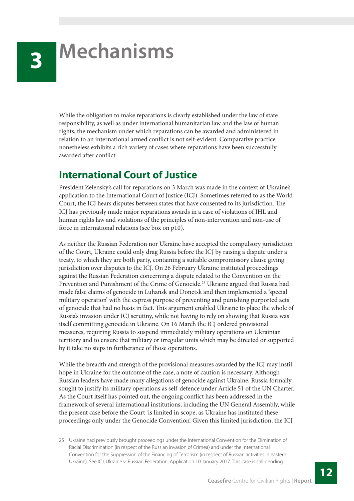**3**

# **Mechanisms**

While the obligation to make reparations is clearly established under the law of state responsibility, as well as under international humanitarian law and the law of human rights, the mechanism under which reparations can be awarded and administered in relation to an international armed conflict is not self-evident. Comparative practice nonetheless exhibits a rich variety of cases where reparations have been successfully awarded after conflict.

## **International Court of Justice**

President Zelensky's call for reparations on 3 March was made in the context of Ukraine's application to the International Court of Justice (ICJ). Sometimes referred to as the World Court, the ICJ hears disputes between states that have consented to its jurisdiction. The ICJ has previously made major reparations awards in a case of violations of IHL and human rights law and violations of the principles of non-intervention and non-use of force in international relations (see box on p10).

As neither the Russian Federation nor Ukraine have accepted the compulsory jurisdiction of the Court, Ukraine could only drag Russia before the ICJ by raising a dispute under a treaty, to which they are both party, containing a suitable compromissory clause giving jurisdiction over disputes to the ICJ. On 26 February Ukraine instituted proceedings against the Russian Federation concerning a dispute related to the Convention on the Prevention and Punishment of the Crime of Genocide. <sup>25</sup> Ukraine argued that Russia had made false claims of genocide in Luhansk and Donetsk and then implemented a 'special military operation' with the express purpose of preventing and punishing purported acts of genocide that had no basis in fact. This argument enabled Ukraine to place the whole of Russia's invasion under ICJ scrutiny, while not having to rely on showing that Russia was itself committing genocide in Ukraine. On 16 March the ICJ ordered provisional measures, requiring Russia to suspend immediately military operations on Ukrainian territory and to ensure that military or irregular units which may be directed or supported by it take no steps in furtherance of those operations.

While the breadth and strength of the provisional measures awarded by the ICJ may instil hope in Ukraine for the outcome of the case, a note of caution is necessary. Although Russian leaders have made many allegations of genocide against Ukraine, Russia formally sought to justify its military operations as self-defence under Article 51 of the UN Charter. As the Court itself has pointed out, the ongoing conflict has been addressed in the framework of several international institutions, including the UN General Assembly, while the present case before the Court 'is limited in scope, as Ukraine has instituted these proceedings only under the Genocide Convention'. Given this limited jurisdiction, the ICJ

25 Ukraine had previously brought proceedings under the International Convention for the Elimination of Racial Discrimination (in respect of the Russian invasion of Crimea) and under the International Convention for the Suppression of the Financing of Terrorism (in respect of Russian activities in eastern Ukraine). See ICJ, Ukraine v. Russian Federation, Application 10 January 2017. This case is still pending.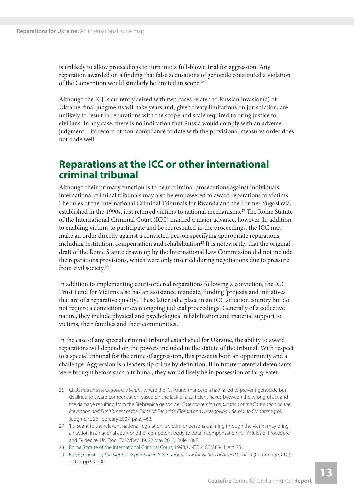is unlikely to allow proceedings to turn into a full-blown trial for aggression. Any reparation awarded on a finding that false accusations of genocide constituted a violation of the Convention would similarly be limited in scope. 26

Although the ICJ is currently seized with two cases related to Russian invasion(s) of Ukraine, final judgments will take years and, given treaty limitations on jurisdiction, are unlikely to result in reparations with the scope and scale required to bring justice to civilians. In any case, there is no indication that Russia would comply with an adverse judgment – its record of non-compliance to date with the provisional measures order does not bode well.

### **Reparations at the ICC or other international criminal tribunal**

Although their primary function is to hear criminal prosecutions against individuals, international criminal tribunals may also be empowered to award reparations to victims. The rules of the International Criminal Tribunals for Rwanda and the Former Yugoslavia, established in the 1990s, just referred victims to national mechanisms.<sup>27</sup> The Rome Statute of the International Criminal Court (ICC) marked a major advance, however. In addition to enabling victims to participate and be represented in the proceedings, the ICC may make an order directly against a convicted person specifying appropriate reparations, including restitution, compensation and rehabilitation<sup>28</sup> It is noteworthy that the original draft of the Rome Statute drawn up by the International Law Commission did not include the reparations provisions, which were only inserted during negotiations due to pressure from civil society. 29

In addition to implementing court-ordered reparations following a conviction, the ICC Trust Fund for Victims also has an assistance mandate, funding 'projects and initiatives that are of a reparative quality'. These latter take place in an ICC situation country but do not require a conviction or even ongoing judicial proceedings. Generally of a collective nature, they include physical and psychological rehabilitation and material support to victims, their families and their communities.

In the case of any special criminal tribunal established for Ukraine, the ability to award reparations will depend on the powers included in the statute of the tribunal. With respect to a special tribunal for the crime of aggression, this presents both an opportunity and a challenge. Aggression is a leadership crime by definition. If in future potential defendants were brought before such a tribunal, they would likely be in possession of far greater

- 26 Cf. Bosnia and Herzegovina v Serbia, where the ICJ found that Serbia had failed to prevent genocide but declined to award compensation based on the lack of a sufficient nexus between the wrongful act and the damage resulting from the Srebrenica genocide. Case concerning application of the Convention on the Prevention and Punishment of the Crime of Genocide (Bosnia and Herzegovina v Serbia and Montenegro), Judgment, 26 February 2007, para. 462.
- 27 'Pursuant to the relevant national legislation, a victim or persons claiming through the victim may bring an action in a national court or other competent body to obtain compensation.' ICTY Rules of Procedure and Evidence, UN Doc. IT/32/Rev. 49, 22 May 2013, Rule 106B.
- 28 Rome Statute of the [International](https://www.icc-cpi.int/sites/default/files/RS-Eng.pdf) Criminal Court, 1998, UNTS 2187/38544, Art. 75.
- 29 Evans, Christine, The Right to Reparation in International Law for Victims of Armed Conflict (Cambridge, CUP, 2012), pp 99-100.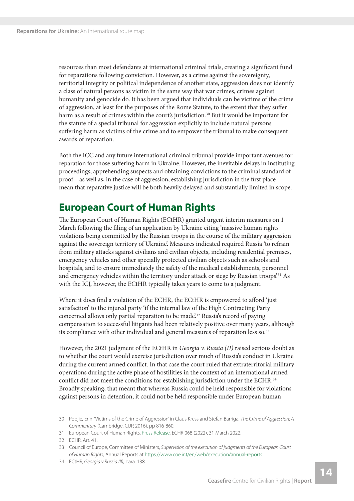resources than most defendants at international criminal trials, creating a significant fund for reparations following conviction. However, as a crime against the sovereignty, territorial integrity or political independence of another state, aggression does not identify a class of natural persons as victim in the same way that war crimes, crimes against humanity and genocide do. It has been argued that individuals can be victims of the crime of aggression, at least for the purposes of the Rome Statute, to the extent that they suffer harm as a result of crimes within the court's jurisdiction. <sup>30</sup> But it would be important for the statute of a special tribunal for aggression explicitly to include natural persons suffering harm as victims of the crime and to empower the tribunal to make consequent awards of reparation.

Both the ICC and any future international criminal tribunal provide important avenues for reparation for those suffering harm in Ukraine. However, the inevitable delays in instituting proceedings, apprehending suspects and obtaining convictions to the criminal standard of proof – as well as, in the case of aggression, establishing jurisdiction in the first place – mean that reparative justice will be both heavily delayed and substantially limited in scope.

## **European Court of Human Rights**

The European Court of Human Rights (ECtHR) granted urgent interim measures on 1 March following the filing of an application by Ukraine citing 'massive human rights violations being committed by the Russian troops in the course of the military aggression against the sovereign territory of Ukraine'. Measures indicated required Russia 'to refrain from military attacks against civilians and civilian objects, including residential premises, emergency vehicles and other specially protected civilian objects such as schools and hospitals, and to ensure immediately the safety of the medical establishments, personnel and emergency vehicles within the territory under attack or siege by Russian troops'. <sup>31</sup> As with the ICJ, however, the ECtHR typically takes years to come to a judgment.

Where it does find a violation of the ECHR, the ECtHR is empowered to afford 'just satisfaction' to the injured party 'if the internal law of the High Contracting Party concerned allows only partial reparation to be made'. <sup>32</sup> Russia's record of paying compensation to successful litigants had been relatively positive over many years, although its compliance with other individual and general measures of reparation less so.<sup>33</sup>

However, the 2021 judgment of the ECtHR in Georgia v. Russia (II) raised serious doubt as to whether the court would exercise jurisdiction over much of Russia's conduct in Ukraine during the current armed conflict. In that case the court ruled that extraterritorial military operations during the active phase of hostilities in the context of an international armed conflict did not meet the conditions for establishing jurisdiction under the ECHR.<sup>34</sup> Broadly speaking, that meant that whereas Russia could be held responsible for violations against persons in detention, it could not be held responsible under European human

- 31 European Court of Human Rights, Press [Release,](https://hudoc.echr.coe.int/app/conversion/pdf/?library=ECHR&id=003-7272764-9905947&filename=The%20Court%20grants%20urgent%20interim%20measures%20in%20application%20concerning%20Russian%20military%20operations%20on%20Ukrainian%20territory.pdf) ECHR 068 (2022), 31 March 2022.
- 32 ECHR, Art. 41.
- 33 Council of Europe, Committee of Ministers, Supervision of the execution of judgments of the European Court of Human Rights, Annual Reports at <https://www.coe.int/en/web/execution/annual-reports>
- 34 ECtHR, Georgia v Russia (II), para. 138.

<sup>30</sup> Pobjie, Erin, 'Victims of the Crime of Aggression' in Claus Kress and Stefan Barriga, The Crime of Aggression: A Commentary (Cambridge, CUP, 2016), pp 816-860.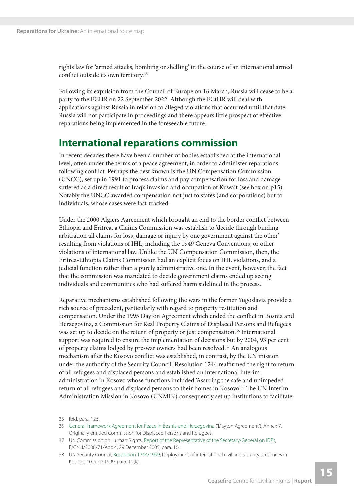rights law for 'armed attacks, bombing or shelling' in the course of an international armed conflict outside its own territory. 35

Following its expulsion from the Council of Europe on 16 March, Russia will cease to be a party to the ECHR on 22 September 2022. Although the ECtHR will deal with applications against Russia in relation to alleged violations that occurred until that date, Russia will not participate in proceedings and there appears little prospect of effective reparations being implemented in the foreseeable future.

#### **International reparations commission**

In recent decades there have been a number of bodies established at the international level, often under the terms of a peace agreement, in order to administer reparations following conflict. Perhaps the best known is the UN Compensation Commission (UNCC), set up in 1991 to process claims and pay compensation for loss and damage suffered as a direct result of Iraq's invasion and occupation of Kuwait (see box on p15). Notably the UNCC awarded compensation not just to states (and corporations) but to individuals, whose cases were fast-tracked.

Under the 2000 Algiers Agreement which brought an end to the border conflict between Ethiopia and Eritrea, a Claims Commission was establish to 'decide through binding arbitration all claims for loss, damage or injury by one government against the other' resulting from violations of IHL, including the 1949 Geneva Conventions, or other violations of international law. Unlike the UN Compensation Commission, then, the Eritrea-Ethiopia Claims Commission had an explicit focus on IHL violations, and a judicial function rather than a purely administrative one. In the event, however, the fact that the commission was mandated to decide government claims ended up seeing individuals and communities who had suffered harm sidelined in the process.

Reparative mechanisms established following the wars in the former Yugoslavia provide a rich source of precedent, particularly with regard to property restitution and compensation. Under the 1995 Dayton Agreement which ended the conflict in Bosnia and Herzegovina, a Commission for Real Property Claims of Displaced Persons and Refugees was set up to decide on the return of property or just compensation. <sup>36</sup> International support was required to ensure the implementation of decisions but by 2004, 93 per cent of property claims lodged by pre-war owners had been resolved. <sup>37</sup> An analogous mechanism after the Kosovo conflict was established, in contrast, by the UN mission under the authority of the Security Council. Resolution 1244 reaffirmed the right to return of all refugees and displaced persons and established an international interim administration in Kosovo whose functions included 'Assuring the safe and unimpeded return of all refugees and displaced persons to their homes in Kosovo<sup>'38</sup> The UN Interim Administration Mission in Kosovo (UNMIK) consequently set up institutions to facilitate

- 36 General Framework Agreement for Peace in Bosnia and [Herzegovina](https://www.osce.org/files/f/documents/e/0/126173.pdf) ('Dayton Agreement'), Annex 7. Originally entitled Commission for Displaced Persons and Refugees.
- 37 UN Commission on Human Rights, Report of the Representative of the [Secretary-General](C://Users/44797/Downloads/E_CN-4_2006_71_Add-4-EN.pdf) on IDPs, E/CN.4/2006/71/Add.4, 29 December 2005, para. 16.

**15**

<sup>35</sup> Ibid, para. 126.

<sup>38</sup> UN Security Council, Resolution [1244/1999,](https://digitallibrary.un.org/record/274488?ln=en) Deployment of international civil and security presences in Kosovo, 10 June 1999, para. 11(k).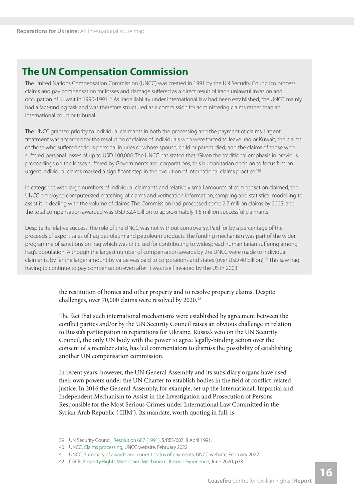## **The UN Compensation Commission**

The United Nations Compensation Commission (UNCC) was created in 1991 by the UN Security Council to process claims and pay compensation for losses and damage suffered as a direct result of Iraq's unlawful invasion and occupation of Kuwait in 1990-1991.<sup>39</sup> As Iraq's liability under international law had been established, the UNCC mainly had a fact-finding task and was therefore structured as a commission for administering claims rather than an international court or tribunal.

The UNCC granted priority to individual claimants in both the processing and the payment of claims. Urgent treatment was accorded for the resolution of claims of individuals who were forced to leave Iraq or Kuwait; the claims of those who suffered serious personal injuries or whose spouse, child or parent died; and the claims of those who suffered personal losses of up to USD 100,000. The UNCC has stated that: 'Given the traditional emphasis in previous proceedings on the losses suffered by Governments and corporations, this humanitarian decision to focus first on urgent individual claims marked a significant step in the evolution of international claims practice.<sup>'40</sup>

In categories with large numbers of individual claimants and relatively small amounts of compensation claimed, the UNCC employed computerized matching of claims and verification information, sampling and statistical modelling to assist it in dealing with the volume of claims. The Commission had processed some 2.7 million claims by 2005, and the total compensation awarded was USD 52.4 billion to approximately 1.5 million successful claimants.

Despite its relative success, the role of the UNCC was not without controversy. Paid for by a percentage of the proceeds of export sales of Iraq petroleum and petroleum products, the funding mechanism was part of the wider programme of sanctions on Iraq which was criticised for contributing to widespread humanitarian suffering among Iraq's population. Although the largest number of compensation awards by the UNCC were made to individual claimants, by far the larger amount by value was paid to corporations and states (over USD 40 billion). <sup>41</sup> This saw Iraq having to continue to pay compensation even after it was itself invaded by the US in 2003.

> the restitution of homes and other property and to resolve property claims. Despite challenges, over 70,000 claims were resolved by 2020. 42

The fact that such international mechanisms were established by agreement between the conflict parties and/or by the UN Security Council raises an obvious challenge in relation to Russia's participation in reparations for Ukraine. Russia's veto on the UN Security Council, the only UN body with the power to agree legally-binding action over the consent of a member state, has led commentators to dismiss the possibility of establishing another UN compensation commission.

In recent years, however, the UN General Assembly and its subsidiary organs have used their own powers under the UN Charter to establish bodies in the field of conflict-related justice. In 2016 the General Assembly, for example, set up the International, Impartial and Independent Mechanism to Assist in the Investigation and Prosecution of Persons Responsible for the Most Serious Crimes under International Law Committed in the Syrian Arab Republic ('IIIM'). Its mandate, worth quoting in full, is

<sup>39</sup> UN Security Council, [Resolution](https://uncc.ch/sites/default/files/attachments/documents/res0687.pdf) 687 (1991), S/RES/687, 8 April 1991.

<sup>40</sup> UNCC, Claims [processing,](https://uncc.ch/claims-processing) UNCC website, February 2022.

<sup>41</sup> UNCC, Summary of awards and current status of [payments,](https://uncc.ch/summary-awards-and-current-status-payments) UNCC website, February 2022.

<sup>42</sup> OSCE, Property Rights Mass Claim [Mechanism:](https://www.osce.org/files/f/documents/2/7/454179.pdf) Kosovo Experience, June 2020, p33.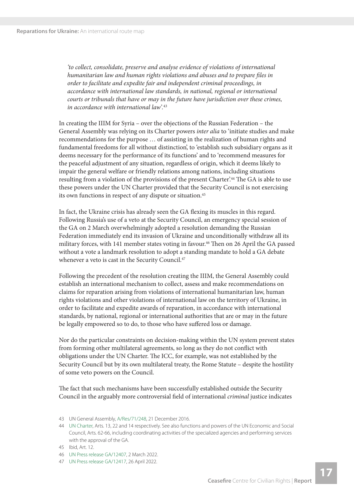'to collect, consolidate, preserve and analyse evidence of violations of international humanitarian law and human rights violations and abuses and to prepare files in order to facilitate and expedite fair and independent criminal proceedings, in accordance with international law standards, in national, regional or international courts or tribunals that have or may in the future have jurisdiction over these crimes, in accordance with international law'. 43

In creating the IIIM for Syria – over the objections of the Russian Federation – the General Assembly was relying on its Charter powers inter alia to 'initiate studies and make recommendations for the purpose … of assisting in the realization of human rights and fundamental freedoms for all without distinction', to 'establish such subsidiary organs as it deems necessary for the performance of its functions' and to 'recommend measures for the peaceful adjustment of any situation, regardless of origin, which it deems likely to impair the general welfare or friendly relations among nations, including situations resulting from a violation of the provisions of the present Charter'.<sup>44</sup> The GA is able to use these powers under the UN Charter provided that the Security Council is not exercising its own functions in respect of any dispute or situation. 45

In fact, the Ukraine crisis has already seen the GA flexing its muscles in this regard. Following Russia's use of a veto at the Security Council, an emergency special session of the GA on 2 March overwhelmingly adopted a resolution demanding the Russian Federation immediately end its invasion of Ukraine and unconditionally withdraw all its military forces, with 141 member states voting in favour.<sup>46</sup> Then on 26 April the GA passed without a vote a landmark resolution to adopt a standing mandate to hold a GA debate whenever a veto is cast in the Security Council. 47

Following the precedent of the resolution creating the IIIM, the General Assembly could establish an international mechanism to collect, assess and make recommendations on claims for reparation arising from violations of international humanitarian law, human rights violations and other violations of international law on the territory of Ukraine, in order to facilitate and expedite awards of reparation, in accordance with international standards, by national, regional or international authorities that are or may in the future be legally empowered so to do, to those who have suffered loss or damage.

Nor do the particular constraints on decision-making within the UN system prevent states from forming other multilateral agreements, so long as they do not conflict with obligations under the UN Charter. The ICC, for example, was not established by the Security Council but by its own multilateral treaty, the Rome Statute – despite the hostility of some veto powers on the Council.

The fact that such mechanisms have been successfully established outside the Security Council in the arguably more controversial field of international criminal justice indicates

- 43 UN General Assembly, [A/Res/71/248,](https://documents-dds-ny.un.org/doc/UNDOC/GEN/N16/462/01/PDF/N1646201.pdf?OpenElement) 21 December 2016.
- 44 UN [Charter,](https://www.un.org/en/about-us/un-charter/full-text) Arts. 13, 22 and 14 respectively. See also functions and powers of the UN Economic and Social Council, Arts. 62-66, including coordinating activities of the specialized agencies and performing services with the approval of the GA.

- 46 UN Press release [GA/12407,](https://www.un.org/press/en/2022/ga12407.doc.htm) 2 March 2022.
- 47 UN Press release [GA/12417,](https://www.un.org/press/en/2022/ga12417.doc.htm) 26 April 2022.

<sup>45</sup> Ibid, Art. 12.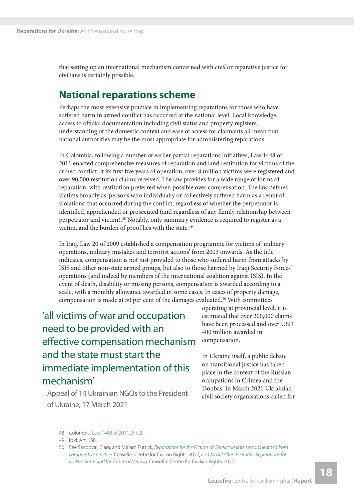that setting up an international mechanism concerned with civil or reparative justice for civilians is certainly possible.

### **National reparations scheme**

Perhaps the most extensive practice in implementing reparations for those who have suffered harm in armed conflict has occurred at the national level. Local knowledge, access to official documentation including civil status and property registers, understanding of the domestic context and ease of access for claimants all mean that national authorities may be the most appropriate for administering reparations.

In Colombia, following a number of earlier partial reparations initiatives, Law 1448 of 2011 enacted comprehensive measures of reparation and land restitution for victims of the armed conflict. It its first five years of operation, over 8 million victims were registered and over 90,000 restitution claims received. The law provides for a wide range of forms of reparation, with restitution preferred when possible over compensation. The law defines victims broadly as 'persons who individually or collectively suffered harm as a result of violations' that occurred during the conflict, regardless of whether the perpetrator is identified, apprehended or prosecuted (and regardless of any family relationship between perpetrator and victim). <sup>48</sup> Notably, only summary evidence is required to register as a victim, and the burden of proof lies with the state. 49

In Iraq, Law 20 of 2009 established a compensation programme for victims of 'military operations, military mistakes and terrorist actions' from 2003 onwards. As the title indicates, compensation is not just provided to those who suffered harm from attacks by ISIS and other non-state armed groups, but also to those harmed by Iraqi Security Forces' operations (and indeed by members of the international coalition against ISIS). In the event of death, disability or missing persons, compensation is awarded according to a scale, with a monthly allowance awarded in some cases. In cases of property damage, compensation is made at 50 per cent of the damages evaluated. <sup>50</sup> With committees

'all victims of war and occupation need to be provided with an effective compensation mechanism and the state must start the immediate implementation of this mechanism'

Appeal of 14 Ukrainian NGOs to the President of Ukraine, 17 March 2021

operating at provincial level, it is estimated that over 200,000 claims have been processed and over USD 400 million awarded in compensation.

In Ukraine itself, a public debate on transitional justice has taken place in the context of the Russian occupations in Crimea and the Donbas. In March 2021 Ukrainian civil society organisations called for

<sup>48</sup> Colombia, Law 1448 of [2011,](https://reparations.qub.ac.uk/assets/uploads/Victims-Law-1448-2011.pdf) Art. 3.

<sup>49</sup> Ibid. Art. 158.

<sup>50</sup> See Sandoval, Clara, and Miriam Puttick, [Reparations](https://www.ceasefire.org/wp-content/uploads/2017/11/Reparations-in-Iraq-Ceasefire-November-2017.pdf) for the Victims of Conflict in Iraq: Lessons learned from [comparative](https://www.ceasefire.org/wp-content/uploads/2017/11/Reparations-in-Iraq-Ceasefire-November-2017.pdf) practice, Ceasefire Centre for Civilian Rights, 2017, and Mosul After the Battle: [Reparations](https://www.ceasefire.org/wp-content/uploads/2020/01/Mosul-after-the-Battle_Ceasefire-report-Jan20.pdf) for civilian harm and the future of [Ninewa,](https://www.ceasefire.org/wp-content/uploads/2020/01/Mosul-after-the-Battle_Ceasefire-report-Jan20.pdf) Ceasefire Centre for Civilian Rights, 2020.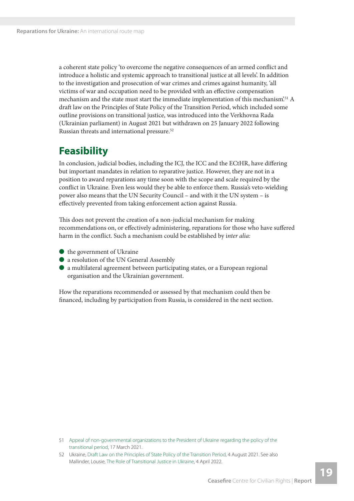a coherent state policy 'to overcome the negative consequences of an armed conflict and introduce a holistic and systemic approach to transitional justice at all levels'. In addition to the investigation and prosecution of war crimes and crimes against humanity, 'all victims of war and occupation need to be provided with an effective compensation mechanism and the state must start the immediate implementation of this mechanism'. <sup>51</sup> A draft law on the Principles of State Policy of the Transition Period, which included some outline provisions on transitional justice, was introduced into the Verkhovna Rada (Ukrainian parliament) in August 2021 but withdrawn on 25 January 2022 following Russian threats and international pressure. 52

### **Feasibility**

In conclusion, judicial bodies, including the ICJ, the ICC and the ECtHR, have differing but important mandates in relation to reparative justice. However, they are not in a position to award reparations any time soon with the scope and scale required by the conflict in Ukraine. Even less would they be able to enforce them. Russia's veto-wielding power also means that the UN Security Council – and with it the UN system – is effectively prevented from taking enforcement action against Russia.

This does not prevent the creation of a non-judicial mechanism for making recommendations on, or effectively administering, reparations for those who have suffered harm in the conflict. Such a mechanism could be established by inter alia:

- the government of Ukraine
- a resolution of the UN General Assembly
- a multilateral agreement between participating states, or a European regional organisation and the Ukrainian government.

How the reparations recommended or assessed by that mechanism could then be financed, including by participation from Russia, is considered in the next section.

- 51 Appeal of [non-governmental](https://r2p.org.ua/ngo-appeal-to-the-president-of-ukraine-17-03-2021/?lang=en) organizations to the President of Ukraine regarding the policy of the [transitional](https://r2p.org.ua/ngo-appeal-to-the-president-of-ukraine-17-03-2021/?lang=en) period, 17 March 2021.
- 52 Ukraine, Draft Law on the Principles of State Policy of the [Transition](https://www.venice.coe.int/webforms/documents/default.aspx?pdffile=CDL-REF(2021)055-e) Period, 4 August 2021. See also Mallinder, Lousie, The Role of [Transitional](https://www.qub.ac.uk/Research/GRI/mitchell-institute/news/040422LouiseMallinderConflictBlog.html) Justice in Ukraine, 4 April 2022.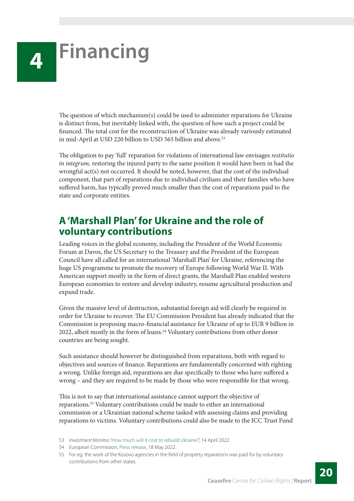## **Financing 4**

The question of which mechanism(s) could be used to administer reparations for Ukraine is distinct from, but inevitably linked with, the question of how such a project could be financed. The total cost for the reconstruction of Ukraine was already variously estimated in mid-April at USD 220 billion to USD 565 billion and above. 53

The obligation to pay 'full' reparation for violations of international law envisages restitutio in integrum, restoring the injured party to the same position it would have been in had the wrongful act(s) not occurred. It should be noted, however, that the cost of the individual component, that part of reparations due to individual civilians and their families who have suffered harm, has typically proved much smaller than the cost of reparations paid to the state and corporate entities.

## **A'Marshall Plan'for Ukraine and the role of voluntary contributions**

Leading voices in the global economy, including the President of the World Economic Forum at Davos, the US Secretary to the Treasury and the President of the European Council have all called for an international 'Marshall Plan' for Ukraine, referencing the huge US programme to promote the recovery of Europe following World War II. With American support mostly in the form of direct grants, the Marshall Plan enabled western European economies to restore and develop industry, resume agricultural production and expand trade.

Given the massive level of destruction, substantial foreign aid will clearly be required in order for Ukraine to recover. The EU Commission President has already indicated that the Commission is proposing macro-financial assistance for Ukraine of up to EUR 9 billion in 2022, albeit mostly in the form of loans. <sup>54</sup> Voluntary contributions from other donor countries are being sought.

Such assistance should however be distinguished from reparations, both with regard to objectives and sources of finance. Reparations are fundamentally concerned with righting a wrong. Unlike foreign aid, reparations are due specifically to those who have suffered a wrong – and they are required to be made by those who were responsible for that wrong.

This is not to say that international assistance cannot support the objective of reparations. <sup>55</sup> Voluntary contributions could be made to either an international commission or a Ukrainian national scheme tasked with assessing claims and providing reparations to victims. Voluntary contributions could also be made to the ICC Trust Fund

- 53 Investment Monitor, 'How much will it cost to rebuild [Ukraine?',](https://www.investmentmonitor.ai/special-focus/ukraine-crisis/ukraine-reconstruction-cost-rebuilding) 14 April 2022.
- 54 European Commission, Press [release,](https://ec.europa.eu/commission/presscorner/detail/en/ip_22_3121) 18 May 2022.

<sup>55</sup> For eg. the work of the Kosovo agencies in the field of property reparations was paid for by voluntary contributions from other states.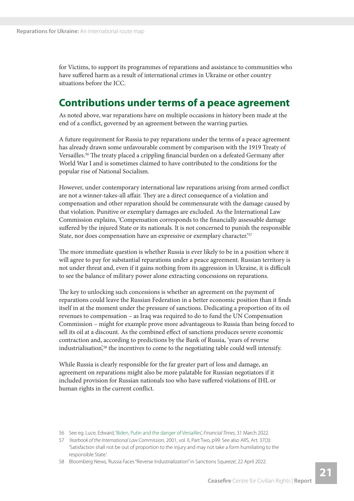for Victims, to support its programmes of reparations and assistance to communities who have suffered harm as a result of international crimes in Ukraine or other country situations before the ICC.

## **Contributions under terms of a peace agreement**

As noted above, war reparations have on multiple occasions in history been made at the end of a conflict, governed by an agreement between the warring parties.

A future requirement for Russia to pay reparations under the terms of a peace agreement has already drawn some unfavourable comment by comparison with the 1919 Treaty of Versailles.<sup>56</sup> The treaty placed a crippling financial burden on a defeated Germany after World War I and is sometimes claimed to have contributed to the conditions for the popular rise of National Socialism.

However, under contemporary international law reparations arising from armed conflict are not a winner-takes-all affair. They are a direct consequence of a violation and compensation and other reparation should be commensurate with the damage caused by that violation. Punitive or exemplary damages are excluded. As the International Law Commission explains, 'Compensation corresponds to the financially assessable damage suffered by the injured State or its nationals. It is not concerned to punish the responsible State, nor does compensation have an expressive or exemplary character.' 57

The more immediate question is whether Russia is ever likely to be in a position where it will agree to pay for substantial reparations under a peace agreement. Russian territory is not under threat and, even if it gains nothing from its aggression in Ukraine, it is difficult to see the balance of military power alone extracting concessions on reparations.

The key to unlocking such concessions is whether an agreement on the payment of reparations could leave the Russian Federation in a better economic position than it finds itself in at the moment under the pressure of sanctions. Dedicating a proportion of its oil revenues to compensation – as Iraq was required to do to fund the UN Compensation Commission – might for example prove more advantageous to Russia than being forced to sell its oil at a discount. As the combined effect of sanctions produces severe economic contraction and, according to predictions by the Bank of Russia, 'years of reverse industrialisation<sup>'58</sup> the incentives to come to the negotiating table could well intensify.

While Russia is clearly responsible for the far greater part of loss and damage, an agreement on reparations might also be more palatable for Russian negotiators if it included provision for Russian nationals too who have suffered violations of IHL or human rights in the current conflict.

- 56 See eg. Luce, Edward, 'Biden, Putin and the danger of [Versailles',](https://www.ft.com/content/afce4687-08f8-4018-a2d4-3c8940eaa19a) Financial Times, 31 March 2022.
- 57 Yearbook of the International Law Commission, 2001, vol. II, Part Two, p99. See also ARS, Art. 37(3): 'Satisfaction shall not be out of proportion to the injury and may not take a form humiliating to the responsible State.'
- 58 Bloomberg News, 'Russia Faces"Reverse Industrialization"in Sanctions Squeeze', 22 April 2022.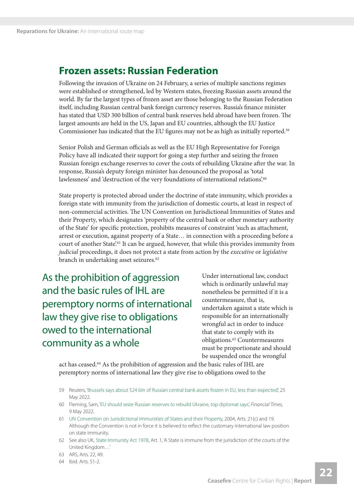### **Frozen assets: Russian Federation**

Following the invasion of Ukraine on 24 February, a series of multiple sanctions regimes were established or strengthened, led by Western states, freezing Russian assets around the world. By far the largest types of frozen asset are those belonging to the Russian Federation itself, including Russian central bank foreign currency reserves. Russia's finance minister has stated that USD 300 billion of central bank reserves held abroad have been frozen. The largest amounts are held in the US, Japan and EU countries, although the EU Justice Commissioner has indicated that the EU figures may not be as high as initially reported.<sup>59</sup>

Senior Polish and German officials as well as the EU High Representative for Foreign Policy have all indicated their support for going a step further and seizing the frozen Russian foreign exchange reserves to cover the costs of rebuilding Ukraine after the war. In response, Russia's deputy foreign minister has denounced the proposal as 'total lawlessness' and 'destruction of the very foundations of international relations'. 60

State property is protected abroad under the doctrine of state immunity, which provides a foreign state with immunity from the jurisdiction of domestic courts, at least in respect of non-commercial activities. The UN Convention on Jurisdictional Immunities of States and their Property, which designates 'property of the central bank or other monetary authority of the State' for specific protection, prohibits measures of constraint 'such as attachment, arrest or execution, against property of a State… in connection with a proceeding before a court of another State'.<sup>61</sup> It can be argued, however, that while this provides immunity from judicial proceedings, it does not protect a state from action by the executive or legislative branch in undertaking asset seizures. 62

As the prohibition of aggression and the basic rules of IHL are peremptory norms of international law they give rise to obligations owed to the international community as a whole

Under international law, conduct which is ordinarily unlawful may nonetheless be permitted if it is a countermeasure, that is, undertaken against a state which is responsible for an internationally wrongful act in order to induce that state to comply with its obligations. <sup>63</sup> Countermeasures must be proportionate and should be suspended once the wrongful

act has ceased. <sup>64</sup> As the prohibition of aggression and the basic rules of IHL are peremptory norms of international law they give rise to obligations owed to the

- 59 Reuters, 'Brussels says about \$24 bln of Russian central bank assets frozen in EU, less than [expected',](https://www.reuters.com/world/europe/brussels-says-about-24-bln-russian-central-bank-assets-frozen-eu-less-than-2022-05-25/) 25 May 2022.
- 60 Fleming, Sam, 'EU should seize Russian reserves to rebuild Ukraine, top [diplomat](https://www.ft.com/content/82b0444f-889a-4f3d-8dbc-1d04162807f3) says', Financial Times, 9 May 2022.
- 61 UN Convention on [Jurisdictional](https://legal.un.org/ilc/texts/instruments/english/conventions/4_1_2004.pdf) Immunities of States and their Property, 2004, Arts. 21(c) and 19. Although the Convention is not in force it is believed to reflect the customary international law position on state immunity.
- 62 See also UK, State [Immunity](https://www.legislation.gov.uk/ukpga/1978/33#:~:text=(1)A%20State%20is%20immune,in%20the%20proceedings%20in%20question.) Act 1978, Art. 1, 'A State is immune from the jurisdiction of the courts of the United Kingdom…'

64 Ibid. Arts. 51-2.

<sup>63</sup> ARS, Arts. 22, 49.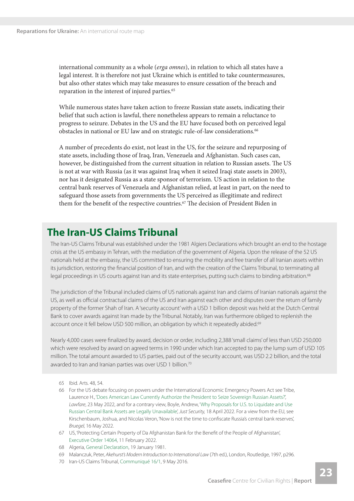international community as a whole (erga omnes), in relation to which all states have a legal interest. It is therefore not just Ukraine which is entitled to take countermeasures, but also other states which may take measures to ensure cessation of the breach and reparation in the interest of injured parties. 65

While numerous states have taken action to freeze Russian state assets, indicating their belief that such action is lawful, there nonetheless appears to remain a reluctance to progress to seizure. Debates in the US and the EU have focused both on perceived legal obstacles in national or EU law and on strategic rule-of-law considerations. 66

A number of precedents do exist, not least in the US, for the seizure and repurposing of state assets, including those of Iraq, Iran, Venezuela and Afghanistan. Such cases can, however, be distinguished from the current situation in relation to Russian assets. The US is not at war with Russia (as it was against Iraq when it seized Iraqi state assets in 2003), nor has it designated Russia as a state sponsor of terrorism. US action in relation to the central bank reserves of Venezuela and Afghanistan relied, at least in part, on the need to safeguard those assets from governments the US perceived as illegitimate and redirect them for the benefit of the respective countries.<sup>67</sup> The decision of President Biden in

#### **The Iran-US Claims Tribunal**

The Iran-US Claims Tribunal was established under the 1981 Algiers Declarations which brought an end to the hostage crisis at the US embassy in Tehran, with the mediation of the government of Algeria. Upon the release of the 52 US nationals held at the embassy, the US committed to ensuring the mobility and free transfer of all Iranian assets within its jurisdiction, restoring the financial position of Iran, and with the creation of the Claims Tribunal, to terminating all legal proceedings in US courts against Iran and its state enterprises, putting such claims to binding arbitration.<sup>68</sup>

The jurisdiction of the Tribunal included claims of US nationals against Iran and claims of Iranian nationals against the US, as well as official contractual claims of the US and Iran against each other and disputes over the return of family property of the former Shah of Iran. A'security account'with a USD 1 billion deposit was held at the Dutch Central Bank to cover awards against Iran made by the Tribunal. Notably, Iran was furthermore obliged to replenish the account once it fell below USD 500 million, an obligation by which it repeatedly abided.<sup>69</sup>

Nearly 4,000 cases were finalized by award, decision or order, including 2,388 'small claims'of less than USD 250,000 which were resolved by award on agreed terms in 1990 under which Iran accepted to pay the lump sum of USD 105 million. The total amount awarded to US parties, paid out of the security account, was USD 2.2 billion, and the total awarded to Iran and Iranian parties was over USD 1 billion.<sup>70</sup>

- 65 Ibid. Arts. 48, 54.
- 66 For the US debate focusing on powers under the International Economic Emergency Powers Act see Tribe, Laurence H., 'Does American Law Currently Authorize the President to Seize [Sovereign](https://www.lawfareblog.com/does-american-law-currently-authorize-president-seize-sovereign-russian-assets) Russian Assets?', Lawfare, 23 May 2022, and for a contrary view, Boyle, Andrew, 'Why [Proposals](https://www.justsecurity.org/81165/why-proposals-for-u-s-to-liquidate-and-use-russian-central-bank-assets-are-legally-unavailable/) for U.S. to Liquidate and Use Russian Central Bank Assets are Legally [Unavailable',](https://www.justsecurity.org/81165/why-proposals-for-u-s-to-liquidate-and-use-russian-central-bank-assets-are-legally-unavailable/) Just Security, 18 April 2022. For a view from the EU, see Kirschenbaum, Joshua, and Nicolas Veron, 'Now is not the time to confiscate Russia's central bank reserves', Bruegel, 16 May 2022.
- 67 US, 'Protecting Certain Property of Da Afghanistan Bank for the Benefit of the People of Afghanistan', [Executive](https://www.govinfo.gov/content/pkg/FR-2022-02-15/pdf/2022-03346.pdf) Order 14064, 11 February 2022.
- 68 Algeria, General [Declaration,](https://iusct.com/wp-content/uploads/2021/02/1-General-Declaration_.pdf) 19 January 1981.
- 69 Malanczuk, Peter, Akehurst's Modern Introduction to International Law (7th ed.), London, Routledge, 1997, p296.
- 70 Iran-US Claims Tribunal, [Communiqué](https://iusct.com/wp-content/uploads/2021/03/Communique-16.1-9-May-2016.pdf) 16/1, 9 May 2016.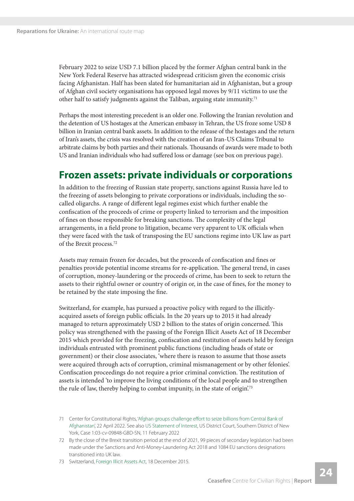February 2022 to seize USD 7.1 billion placed by the former Afghan central bank in the New York Federal Reserve has attracted widespread criticism given the economic crisis facing Afghanistan. Half has been slated for humanitarian aid in Afghanistan, but a group of Afghan civil society organisations has opposed legal moves by 9/11 victims to use the other half to satisfy judgments against the Taliban, arguing state immunity. 71

Perhaps the most interesting precedent is an older one. Following the Iranian revolution and the detention of US hostages at the American embassy in Tehran, the US froze some USD 8 billion in Iranian central bank assets. In addition to the release of the hostages and the return of Iran's assets, the crisis was resolved with the creation of an Iran-US Claims Tribunal to arbitrate claims by both parties and their nationals. Thousands of awards were made to both US and Iranian individuals who had suffered loss or damage (see box on previous page).

### **Frozen assets: private individuals or corporations**

In addition to the freezing of Russian state property, sanctions against Russia have led to the freezing of assets belonging to private corporations or individuals, including the socalled oligarchs. A range of different legal regimes exist which further enable the confiscation of the proceeds of crime or property linked to terrorism and the imposition of fines on those responsible for breaking sanctions. The complexity of the legal arrangements, in a field prone to litigation, became very apparent to UK officials when they were faced with the task of transposing the EU sanctions regime into UK law as part of the Brexit process. 72

Assets may remain frozen for decades, but the proceeds of confiscation and fines or penalties provide potential income streams for re-application. The general trend, in cases of corruption, money-laundering or the proceeds of crime, has been to seek to return the assets to their rightful owner or country of origin or, in the case of fines, for the money to be retained by the state imposing the fine.

Switzerland, for example, has pursued a proactive policy with regard to the illicitlyacquired assets of foreign public officials. In the 20 years up to 2015 it had already managed to return approximately USD 2 billion to the states of origin concerned. This policy was strengthened with the passing of the Foreign Illicit Assets Act of 18 December 2015 which provided for the freezing, confiscation and restitution of assets held by foreign individuals entrusted with prominent public functions (including heads of state or government) or their close associates, 'where there is reason to assume that those assets were acquired through acts of corruption, criminal mismanagement or by other felonies'. Confiscation proceedings do not require a prior criminal conviction. The restitution of assets is intended 'to improve the living conditions of the local people and to strengthen the rule of law, thereby helping to combat impunity, in the state of origin.<sup>73</sup>

<sup>71</sup> Center for Constitutional Rights, 'Afghan groups [challenge](https://ccrjustice.org/home/press-center/press-releases/afghan-groups-challenge-effort-seize-billions-central-bank) effort to seize billions from Central Bank of [Afghanistan',](https://ccrjustice.org/home/press-center/press-releases/afghan-groups-challenge-effort-seize-billions-central-bank) 22 April 2022. See also US [Statement](https://int.nyt.com/data/documenttools/usg-statement-of-interest-dab-assets-havlish-doe/cbc6788de125cbd2/full.pdf) of Interest, US District Court, Southern District of New York, Case 1:03-cv-09848-GBD-SN, 11 February 2022

<sup>72</sup> By the close of the Brexit transition period at the end of 2021, 99 pieces of secondary legislation had been made under the Sanctions and Anti-Money-Laundering Act 2018 and 1084 EU sanctions designations transitioned into UK law.

<sup>73</sup> Switzerland, [Foreign](https://www.unodc.org/documents/treaties/UNCAC/WorkingGroups/workinggroup2/2016-August-25-26/V1605154e.pdf) Illicit Assets Act, 18 December 2015.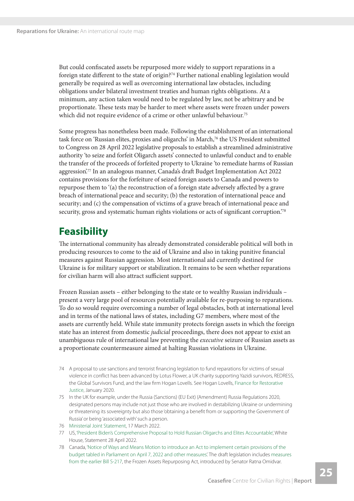But could confiscated assets be repurposed more widely to support reparations in a foreign state different to the state of origin?74 Further national enabling legislation would generally be required as well as overcoming international law obstacles, including obligations under bilateral investment treaties and human rights obligations. At a minimum, any action taken would need to be regulated by law, not be arbitrary and be proportionate. These tests may be harder to meet where assets were frozen under powers which did not require evidence of a crime or other unlawful behaviour. 75

Some progress has nonetheless been made. Following the establishment of an international task force on 'Russian elites, proxies and oligarchs' in March, <sup>76</sup> the US President submitted to Congress on 28 April 2022 legislative proposals to establish a streamlined administrative authority 'to seize and forfeit Oligarch assets' connected to unlawful conduct and to enable the transfer of the proceeds of forfeited property to Ukraine 'to remediate harms of Russian aggression.'77 In an analogous manner, Canada's draft Budget Implementation Act 2022 contains provisions for the forfeiture of seized foreign assets to Canada and powers to repurpose them to '(a) the reconstruction of a foreign state adversely affected by a grave breach of international peace and security; (b) the restoration of international peace and security; and (c) the compensation of victims of a grave breach of international peace and security, gross and systematic human rights violations or acts of significant corruption.<sup>78</sup>

## **Feasibility**

The international community has already demonstrated considerable political will both in producing resources to come to the aid of Ukraine and also in taking punitive financial measures against Russian aggression. Most international aid currently destined for Ukraine is for military support or stabilization. It remains to be seen whether reparations for civilian harm will also attract sufficient support.

Frozen Russian assets – either belonging to the state or to wealthy Russian individuals – present a very large pool of resources potentially available for re-purposing to reparations. To do so would require overcoming a number of legal obstacles, both at international level and in terms of the national laws of states, including G7 members, where most of the assets are currently held. While state immunity protects foreign assets in which the foreign state has an interest from domestic *judicial* proceedings, there does not appear to exist an unambiguous rule of international law preventing the executive seizure of Russian assets as a proportionate countermeasure aimed at halting Russian violations in Ukraine.

- 74 A proposal to use sanctions and terrorist financing legislation to fund reparations for victims of sexual violence in conflict has been advanced by Lotus Flower, a UK charity supporting Yazidi survivors, REDRESS, the Global Survivors Fund, and the law firm Hogan Lovells. See Hogan Lovells, Finance for [Restorative](https://www.hoganlovells.com/~/media/hogan-lovells/pdf/2020-pdfs/2020_01_29_rethinking-reparations-report.pdf) [Justice,](https://www.hoganlovells.com/~/media/hogan-lovells/pdf/2020-pdfs/2020_01_29_rethinking-reparations-report.pdf) January 2020.
- 75 In the UK for example, under the Russia (Sanctions) (EU Exit) (Amendment) Russia Regulations 2020, designated persons may include not just those who are involved in destabilizing Ukraine or undermining or threatening its sovereignty but also those 'obtaining a benefit from or supporting the Government of Russia'or being'associated with'such a person.
- 76 Ministerial Joint [Statement,](https://www.canada.ca/en/department-finance/news/2022/03/russian-elites-proxies-and-oligarchs-task-force-ministerial-joint-statement.html) 17 March 2022.
- 77 US, 'President Biden's [Comprehensive](https://www.whitehouse.gov/briefing-room/statements-releases/2022/04/28/fact-sheet-president-bidens-comprehensive-proposal-to-hold-russian-oligarchs-accountable/) Proposal to Hold Russian Oligarchs and Elites Accountable', White House, Statement 28 April 2022.
- 78 Canada, 'Notice of Ways and Means Motion to introduce an Act to [implement](https://fin.canada.ca/drleg-apl/2022/nwmm-amvm-0422-bil.pdf) certain provisions of the budget tabled in [Parliament](https://fin.canada.ca/drleg-apl/2022/nwmm-amvm-0422-bil.pdf) on April 7, 2022 and other measures'. The draft legislation includes [measures](http://www.ratnaomidvar.ca/press-release-senator-ratna-omidvar-welcomes-the-inclusion-of-seizing-and-repurposing-frozen-assets-of-corrupt-officials-in-the-budget-implementation-act/) from the [earlier](http://www.ratnaomidvar.ca/press-release-senator-ratna-omidvar-welcomes-the-inclusion-of-seizing-and-repurposing-frozen-assets-of-corrupt-officials-in-the-budget-implementation-act/) Bill S-217, the Frozen Assets Repurposing Act, introduced by Senator Ratna Omidvar.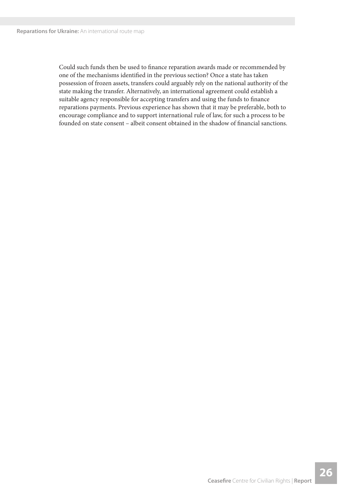Could such funds then be used to finance reparation awards made or recommended by one of the mechanisms identified in the previous section? Once a state has taken possession of frozen assets, transfers could arguably rely on the national authority of the state making the transfer. Alternatively, an international agreement could establish a suitable agency responsible for accepting transfers and using the funds to finance reparations payments. Previous experience has shown that it may be preferable, both to encourage compliance and to support international rule of law, for such a process to be founded on state consent – albeit consent obtained in the shadow of financial sanctions.

**26**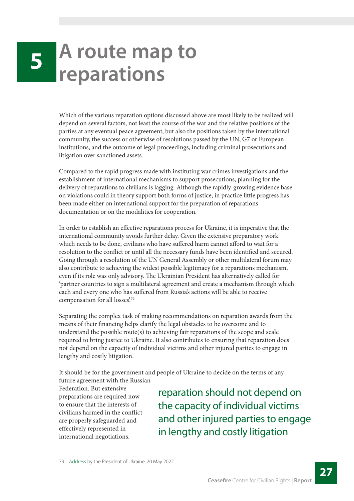## **A route map to reparations 5**

Which of the various reparation options discussed above are most likely to be realized will depend on several factors, not least the course of the war and the relative positions of the parties at any eventual peace agreement, but also the positions taken by the international community, the success or otherwise of resolutions passed by the UN, G7 or European institutions, and the outcome of legal proceedings, including criminal prosecutions and litigation over sanctioned assets.

Compared to the rapid progress made with instituting war crimes investigations and the establishment of international mechanisms to support prosecutions, planning for the delivery of reparations to civilians is lagging. Although the rapidly-growing evidence base on violations could in theory support both forms of justice, in practice little progress has been made either on international support for the preparation of reparations documentation or on the modalities for cooperation.

In order to establish an effective reparations process for Ukraine, it is imperative that the international community avoids further delay. Given the extensive preparatory work which needs to be done, civilians who have suffered harm cannot afford to wait for a resolution to the conflict or until all the necessary funds have been identified and secured. Going through a resolution of the UN General Assembly or other multilateral forum may also contribute to achieving the widest possible legitimacy for a reparations mechanism, even if its role was only advisory. The Ukrainian President has alternatively called for 'partner countries to sign a multilateral agreement and create a mechanism through which each and every one who has suffered from Russia's actions will be able to receive compensation for all losses'. 79

Separating the complex task of making recommendations on reparation awards from the means of their financing helps clarify the legal obstacles to be overcome and to understand the possible route(s) to achieving fair reparations of the scope and scale required to bring justice to Ukraine. It also contributes to ensuring that reparation does not depend on the capacity of individual victims and other injured parties to engage in lengthy and costly litigation.

It should be for the government and people of Ukraine to decide on the terms of any future agreement with the Russian

Federation. But extensive preparations are required now to ensure that the interests of civilians harmed in the conflict are properly safeguarded and effectively represented in international negotiations.

reparation should not depend on the capacity of individual victims and other injured parties to engage in lengthy and costly litigation

79 [Address](https://www.president.gov.ua/en/news/proponuyemo-derzhavam-partneram-viznati-sho-rosiya-povinna-p-75221) by the President of Ukraine, 20 May 2022.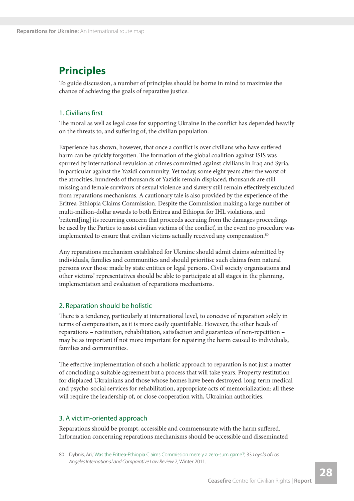## **Principles**

To guide discussion, a number of principles should be borne in mind to maximise the chance of achieving the goals of reparative justice.

#### 1. Civilians first

The moral as well as legal case for supporting Ukraine in the conflict has depended heavily on the threats to, and suffering of, the civilian population.

Experience has shown, however, that once a conflict is over civilians who have suffered harm can be quickly forgotten. The formation of the global coalition against ISIS was spurred by international revulsion at crimes committed against civilians in Iraq and Syria, in particular against the Yazidi community. Yet today, some eight years after the worst of the atrocities, hundreds of thousands of Yazidis remain displaced, thousands are still missing and female survivors of sexual violence and slavery still remain effectively excluded from reparations mechanisms. A cautionary tale is also provided by the experience of the Eritrea-Ethiopia Claims Commission. Despite the Commission making a large number of multi-million-dollar awards to both Eritrea and Ethiopia for IHL violations, and 'reiterat[ing] its recurring concern that proceeds accruing from the damages proceedings be used by the Parties to assist civilian victims of the conflict', in the event no procedure was implemented to ensure that civilian victims actually received any compensation. $^{80}$ 

Any reparations mechanism established for Ukraine should admit claims submitted by individuals, families and communities and should prioritise such claims from natural persons over those made by state entities or legal persons. Civil society organisations and other victims' representatives should be able to participate at all stages in the planning, implementation and evaluation of reparations mechanisms.

#### 2. Reparation should be holistic

There is a tendency, particularly at international level, to conceive of reparation solely in terms of compensation, as it is more easily quantifiable. However, the other heads of reparations – restitution, rehabilitation, satisfaction and guarantees of non-repetition – may be as important if not more important for repairing the harm caused to individuals, families and communities.

The effective implementation of such a holistic approach to reparation is not just a matter of concluding a suitable agreement but a process that will take years. Property restitution for displaced Ukrainians and those whose homes have been destroyed, long-term medical and psycho-social services for rehabilitation, appropriate acts of memorialization: all these will require the leadership of, or close cooperation with, Ukrainian authorities.

#### 3. A victim-oriented approach

Reparations should be prompt, accessible and commensurate with the harm suffered. Information concerning reparations mechanisms should be accessible and disseminated

<sup>80</sup> Dybnis, Ari, 'Was the [Eritrea-Ethiopia](https://digitalcommons.lmu.edu/cgi/viewcontent.cgi?referer=&httpsredir=1&article=1664&context=ilr) Claims Commission merely a zero-sum game?', 33 Loyola of Los Angeles International and Comparative Law Review 2, Winter 2011.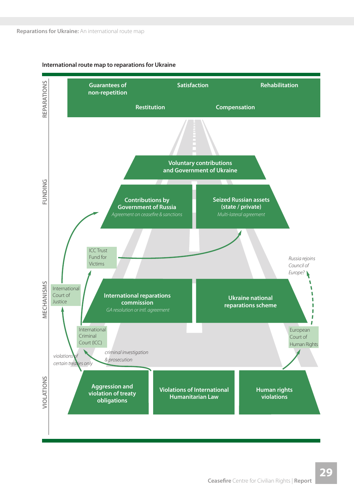

#### **International route map to reparations for Ukraine**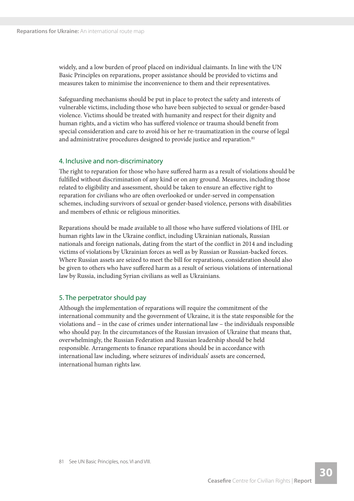widely, and a low burden of proof placed on individual claimants. In line with the UN Basic Principles on reparations, proper assistance should be provided to victims and measures taken to minimise the inconvenience to them and their representatives.

Safeguarding mechanisms should be put in place to protect the safety and interests of vulnerable victims, including those who have been subjected to sexual or gender-based violence. Victims should be treated with humanity and respect for their dignity and human rights, and a victim who has suffered violence or trauma should benefit from special consideration and care to avoid his or her re-traumatization in the course of legal and administrative procedures designed to provide justice and reparation. 81

#### 4. Inclusive and non-discriminatory

The right to reparation for those who have suffered harm as a result of violations should be fulfilled without discrimination of any kind or on any ground. Measures, including those related to eligibility and assessment, should be taken to ensure an effective right to reparation for civilians who are often overlooked or under-served in compensation schemes, including survivors of sexual or gender-based violence, persons with disabilities and members of ethnic or religious minorities.

Reparations should be made available to all those who have suffered violations of IHL or human rights law in the Ukraine conflict, including Ukrainian nationals, Russian nationals and foreign nationals, dating from the start of the conflict in 2014 and including victims of violations by Ukrainian forces as well as by Russian or Russian-backed forces. Where Russian assets are seized to meet the bill for reparations, consideration should also be given to others who have suffered harm as a result of serious violations of international law by Russia, including Syrian civilians as well as Ukrainians.

#### 5. The perpetrator should pay

Although the implementation of reparations will require the commitment of the international community and the government of Ukraine, it is the state responsible for the violations and – in the case of crimes under international law – the individuals responsible who should pay. In the circumstances of the Russian invasion of Ukraine that means that, overwhelmingly, the Russian Federation and Russian leadership should be held responsible. Arrangements to finance reparations should be in accordance with international law including, where seizures of individuals' assets are concerned, international human rights law.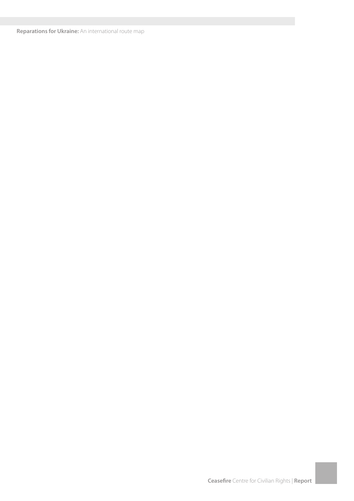**Reparations for Ukraine:** An international route map